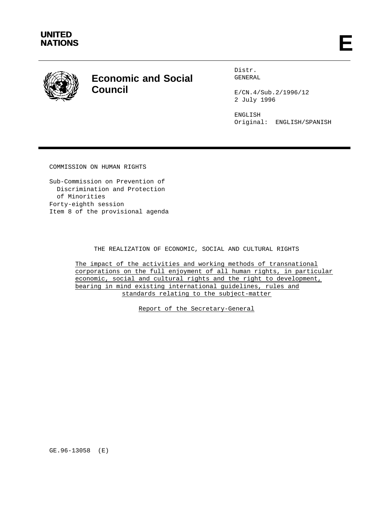



# **Economic and Social Council**

Distr. GENERAL

E/CN.4/Sub.2/1996/12 2 July 1996

ENGLISH Original: ENGLISH/SPANISH

COMMISSION ON HUMAN RIGHTS

Sub-Commission on Prevention of Discrimination and Protection of Minorities Forty-eighth session Item 8 of the provisional agenda

# THE REALIZATION OF ECONOMIC, SOCIAL AND CULTURAL RIGHTS

The impact of the activities and working methods of transnational corporations on the full enjoyment of all human rights, in particular economic, social and cultural rights and the right to development, bearing in mind existing international guidelines, rules and standards relating to the subject-matter

Report of the Secretary-General

GE.96-13058 (E)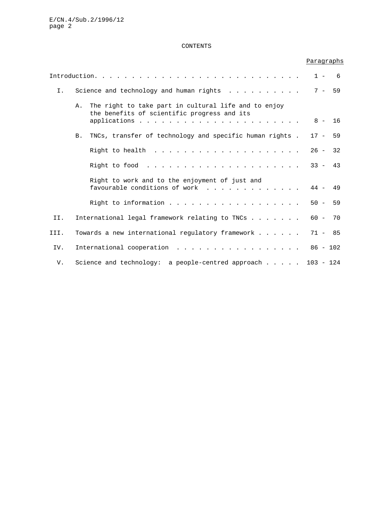# CONTENTS

# Paragraphs

|       |                                         |                                                                                                     |           | $1 - 6$  |
|-------|-----------------------------------------|-----------------------------------------------------------------------------------------------------|-----------|----------|
| $I$ . | Science and technology and human rights |                                                                                                     |           | $7 - 59$ |
|       | Α.                                      | The right to take part in cultural life and to enjoy<br>the benefits of scientific progress and its | $8 - 16$  |          |
|       | B.                                      | TNCs, transfer of technology and specific human rights.                                             | $17 - 59$ |          |
|       |                                         |                                                                                                     | $26 -$    | 32       |
|       |                                         |                                                                                                     | $33 - 43$ |          |
|       |                                         | Right to work and to the enjoyment of just and<br>favourable conditions of work                     | $44 - 49$ |          |
|       |                                         | Right to information                                                                                | $50 - 59$ |          |
| II.   |                                         | International legal framework relating to TNCs                                                      | $60 -$    | 70       |
| III.  |                                         | Towards a new international regulatory framework                                                    | $71 - 85$ |          |
| IV.   |                                         | International cooperation 86 - 102                                                                  |           |          |
| V.    |                                         | Science and technology: a people-centred approach 103 - 124                                         |           |          |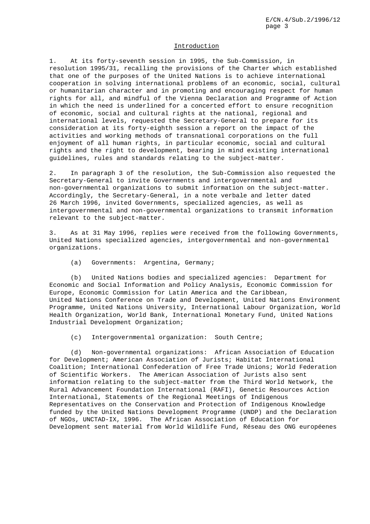# Introduction

1. At its forty-seventh session in 1995, the Sub-Commission, in resolution 1995/31, recalling the provisions of the Charter which established that one of the purposes of the United Nations is to achieve international cooperation in solving international problems of an economic, social, cultural or humanitarian character and in promoting and encouraging respect for human rights for all, and mindful of the Vienna Declaration and Programme of Action in which the need is underlined for a concerted effort to ensure recognition of economic, social and cultural rights at the national, regional and international levels, requested the Secretary-General to prepare for its consideration at its forty-eighth session a report on the impact of the activities and working methods of transnational corporations on the full enjoyment of all human rights, in particular economic, social and cultural rights and the right to development, bearing in mind existing international guidelines, rules and standards relating to the subject-matter.

2. In paragraph 3 of the resolution, the Sub-Commission also requested the Secretary-General to invite Governments and intergovernmental and non-governmental organizations to submit information on the subject-matter. Accordingly, the Secretary-General, in a note verbale and letter dated 26 March 1996, invited Governments, specialized agencies, as well as intergovernmental and non-governmental organizations to transmit information relevant to the subject-matter.

3. As at 31 May 1996, replies were received from the following Governments, United Nations specialized agencies, intergovernmental and non-governmental organizations.

(a) Governments: Argentina, Germany;

(b) United Nations bodies and specialized agencies: Department for Economic and Social Information and Policy Analysis, Economic Commission for Europe, Economic Commission for Latin America and the Caribbean, United Nations Conference on Trade and Development, United Nations Environment Programme, United Nations University, International Labour Organization, World Health Organization, World Bank, International Monetary Fund, United Nations Industrial Development Organization;

(c) Intergovernmental organization: South Centre;

(d) Non-governmental organizations: African Association of Education for Development; American Association of Jurists; Habitat International Coalition; International Confederation of Free Trade Unions; World Federation of Scientific Workers. The American Association of Jurists also sent information relating to the subject-matter from the Third World Network, the Rural Advancement Foundation International (RAFI), Genetic Resources Action International, Statements of the Regional Meetings of Indigenous Representatives on the Conservation and Protection of Indigenous Knowledge funded by the United Nations Development Programme (UNDP) and the Declaration of NGOs, UNCTAD-IX, 1996. The African Association of Education for Development sent material from World Wildlife Fund, Réseau des ONG européenes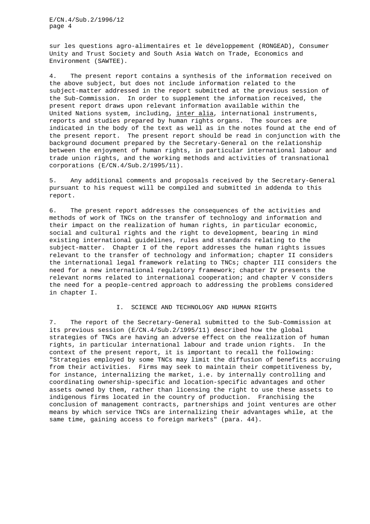sur les questions agro-alimentaires et le développement (RONGEAD), Consumer Unity and Trust Society and South Asia Watch on Trade, Economics and Environment (SAWTEE).

4. The present report contains a synthesis of the information received on the above subject, but does not include information related to the subject-matter addressed in the report submitted at the previous session of the Sub-Commission. In order to supplement the information received, the present report draws upon relevant information available within the United Nations system, including, inter alia, international instruments, reports and studies prepared by human rights organs. The sources are indicated in the body of the text as well as in the notes found at the end of the present report. The present report should be read in conjunction with the background document prepared by the Secretary-General on the relationship between the enjoyment of human rights, in particular international labour and trade union rights, and the working methods and activities of transnational corporations (E/CN.4/Sub.2/1995/11).

5. Any additional comments and proposals received by the Secretary-General pursuant to his request will be compiled and submitted in addenda to this report.

6. The present report addresses the consequences of the activities and methods of work of TNCs on the transfer of technology and information and their impact on the realization of human rights, in particular economic, social and cultural rights and the right to development, bearing in mind existing international guidelines, rules and standards relating to the subject-matter. Chapter I of the report addresses the human rights issues relevant to the transfer of technology and information; chapter II considers the international legal framework relating to TNCs; chapter III considers the need for a new international regulatory framework; chapter IV presents the relevant norms related to international cooperation; and chapter V considers the need for a people-centred approach to addressing the problems considered in chapter I.

## I. SCIENCE AND TECHNOLOGY AND HUMAN RIGHTS

7. The report of the Secretary-General submitted to the Sub-Commission at its previous session (E/CN.4/Sub.2/1995/11) described how the global strategies of TNCs are having an adverse effect on the realization of human rights, in particular international labour and trade union rights. In the context of the present report, it is important to recall the following: "Strategies employed by some TNCs may limit the diffusion of benefits accruing from their activities. Firms may seek to maintain their competitiveness by, for instance, internalizing the market, i.e. by internally controlling and coordinating ownership-specific and location-specific advantages and other assets owned by them, rather than licensing the right to use these assets to indigenous firms located in the country of production. Franchising the conclusion of management contracts, partnerships and joint ventures are other means by which service TNCs are internalizing their advantages while, at the same time, gaining access to foreign markets" (para. 44).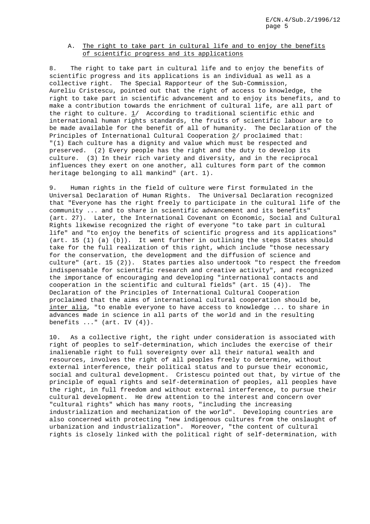# A. The right to take part in cultural life and to enjoy the benefits of scientific progress and its applications

8. The right to take part in cultural life and to enjoy the benefits of scientific progress and its applications is an individual as well as a collective right. The Special Rapporteur of the Sub-Commission, Aureliu Cristescu, pointed out that the right of access to knowledge, the right to take part in scientific advancement and to enjoy its benefits, and to make a contribution towards the enrichment of cultural life, are all part of the right to culture. 1/ According to traditional scientific ethic and international human rights standards, the fruits of scientific labour are to be made available for the benefit of all of humanity. The Declaration of the Principles of International Cultural Cooperation 2/ proclaimed that: "(1) Each culture has a dignity and value which must be respected and preserved. (2) Every people has the right and the duty to develop its culture. (3) In their rich variety and diversity, and in the reciprocal influences they exert on one another, all cultures form part of the common heritage belonging to all mankind" (art. 1).

9. Human rights in the field of culture were first formulated in the Universal Declaration of Human Rights. The Universal Declaration recognized that "Everyone has the right freely to participate in the cultural life of the community ... and to share in scientific advancement and its benefits" (art. 27). Later, the International Covenant on Economic, Social and Cultural Rights likewise recognized the right of everyone "to take part in cultural life" and "to enjoy the benefits of scientific progress and its applications" (art. 15 (1) (a) (b)). It went further in outlining the steps States should take for the full realization of this right, which include "those necessary for the conservation, the development and the diffusion of science and culture" (art. 15 (2)). States parties also undertook "to respect the freedom indispensable for scientific research and creative activity", and recognized the importance of encouraging and developing "international contacts and cooperation in the scientific and cultural fields"  $(\text{art. } 15 \ (4))$ . The Declaration of the Principles of International Cultural Cooperation proclaimed that the aims of international cultural cooperation should be, inter alia, "to enable everyone to have access to knowledge ... to share in advances made in science in all parts of the world and in the resulting benefits  $\ldots$  " (art. IV  $(4)$ ).

10. As a collective right, the right under consideration is associated with right of peoples to self-determination, which includes the exercise of their inalienable right to full sovereignty over all their natural wealth and resources, involves the right of all peoples freely to determine, without external interference, their political status and to pursue their economic, social and cultural development. Cristescu pointed out that, by virtue of the principle of equal rights and self-determination of peoples, all peoples have the right, in full freedom and without external interference, to pursue their cultural development. He drew attention to the interest and concern over "cultural rights" which has many roots, "including the increasing industrialization and mechanization of the world". Developing countries are also concerned with protecting "new indigenous cultures from the onslaught of urbanization and industrialization". Moreover, "the content of cultural rights is closely linked with the political right of self-determination, with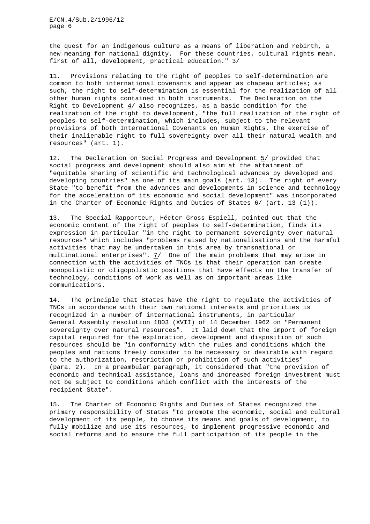the quest for an indigenous culture as a means of liberation and rebirth, a new meaning for national dignity. For these countries, cultural rights mean, first of all, development, practical education." 3/

11. Provisions relating to the right of peoples to self-determination are common to both international covenants and appear as chapeau articles; as such, the right to self-determination is essential for the realization of all other human rights contained in both instruments. The Declaration on the Right to Development 4/ also recognizes, as a basic condition for the realization of the right to development, "the full realization of the right of peoples to self-determination, which includes, subject to the relevant provisions of both International Covenants on Human Rights, the exercise of their inalienable right to full sovereignty over all their natural wealth and resources" (art. 1).

12. The Declaration on Social Progress and Development 5/ provided that social progress and development should also aim at the attainment of "equitable sharing of scientific and technological advances by developed and developing countries" as one of its main goals (art. 13). The right of every State "to benefit from the advances and developments in science and technology for the acceleration of its economic and social development" was incorporated in the Charter of Economic Rights and Duties of States 6/ (art. 13 (1)).

13. The Special Rapporteur, Héctor Gross Espiell, pointed out that the economic content of the right of peoples to self-determination, finds its expression in particular "in the right to permanent sovereignty over natural resources" which includes "problems raised by nationalisations and the harmful activities that may be undertaken in this area by transnational or multinational enterprises".  $7/$  One of the main problems that may arise in connection with the activities of TNCs is that their operation can create monopolistic or oligopolistic positions that have effects on the transfer of technology, conditions of work as well as on important areas like communications.

14. The principle that States have the right to regulate the activities of TNCs in accordance with their own national interests and priorities is recognized in a number of international instruments, in particular General Assembly resolution 1803 (XVII) of 14 December 1962 on "Permanent sovereignty over natural resources". It laid down that the import of foreign capital required for the exploration, development and disposition of such resources should be "in conformity with the rules and conditions which the peoples and nations freely consider to be necessary or desirable with regard to the authorization, restriction or prohibition of such activities" (para. 2). In a preambular paragraph, it considered that "the provision of economic and technical assistance, loans and increased foreign investment must not be subject to conditions which conflict with the interests of the recipient State".

15. The Charter of Economic Rights and Duties of States recognized the primary responsibility of States "to promote the economic, social and cultural development of its people, to choose its means and goals of development, to fully mobilize and use its resources, to implement progressive economic and social reforms and to ensure the full participation of its people in the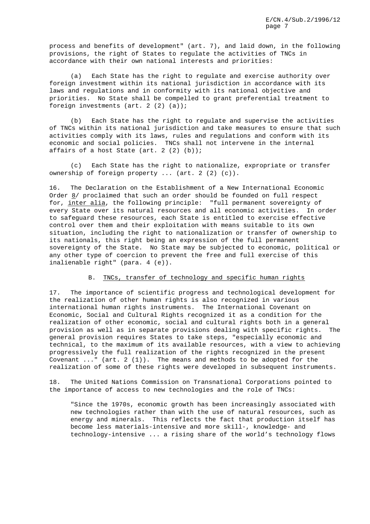process and benefits of development" (art. 7), and laid down, in the following provisions, the right of States to regulate the activities of TNCs in accordance with their own national interests and priorities:

(a) Each State has the right to regulate and exercise authority over foreign investment within its national jurisdiction in accordance with its laws and regulations and in conformity with its national objective and priorities. No State shall be compelled to grant preferential treatment to foreign investments (art. 2 (2) (a));

(b) Each State has the right to regulate and supervise the activities of TNCs within its national jurisdiction and take measures to ensure that such activities comply with its laws, rules and regulations and conform with its economic and social policies. TNCs shall not intervene in the internal affairs of a host State (art. 2 (2) (b));

(c) Each State has the right to nationalize, expropriate or transfer ownership of foreign property ... (art. 2 (2) (c)).

16. The Declaration on the Establishment of a New International Economic Order 8/ proclaimed that such an order should be founded on full respect for, inter alia, the following principle: "full permanent sovereignty of every State over its natural resources and all economic activities. In order to safeguard these resources, each State is entitled to exercise effective control over them and their exploitation with means suitable to its own situation, including the right to nationalization or transfer of ownership to its nationals, this right being an expression of the full permanent sovereignty of the State. No State may be subjected to economic, political or any other type of coercion to prevent the free and full exercise of this inalienable right" (para. 4 (e)).

## B. TNCs, transfer of technology and specific human rights

17. The importance of scientific progress and technological development for the realization of other human rights is also recognized in various international human rights instruments. The International Covenant on Economic, Social and Cultural Rights recognized it as a condition for the realization of other economic, social and cultural rights both in a general provision as well as in separate provisions dealing with specific rights. The general provision requires States to take steps, "especially economic and technical, to the maximum of its available resources, with a view to achieving progressively the full realization of the rights recognized in the present Covenant  $\dots$  (art. 2 (1)). The means and methods to be adopted for the realization of some of these rights were developed in subsequent instruments.

18. The United Nations Commission on Transnational Corporations pointed to the importance of access to new technologies and the role of TNCs:

"Since the 1970s, economic growth has been increasingly associated with new technologies rather than with the use of natural resources, such as energy and minerals. This reflects the fact that production itself has become less materials-intensive and more skill-, knowledge- and technology-intensive ... a rising share of the world's technology flows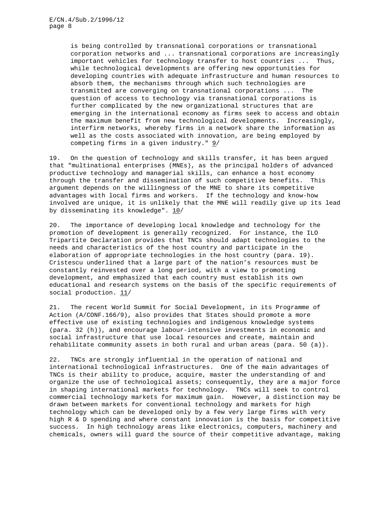is being controlled by transnational corporations or transnational corporation networks and ... transnational corporations are increasingly important vehicles for technology transfer to host countries ... Thus, while technological developments are offering new opportunities for developing countries with adequate infrastructure and human resources to absorb them, the mechanisms through which such technologies are transmitted are converging on transnational corporations ... The question of access to technology via transnational corporations is further complicated by the new organizational structures that are emerging in the international economy as firms seek to access and obtain the maximum benefit from new technological developments. Increasingly, interfirm networks, whereby firms in a network share the information as well as the costs associated with innovation, are being employed by competing firms in a given industry." 9/

19. On the question of technology and skills transfer, it has been argued that "multinational enterprises (MNEs), as the principal holders of advanced productive technology and managerial skills, can enhance a host economy through the transfer and dissemination of such competitive benefits. This argument depends on the willingness of the MNE to share its competitive advantages with local firms and workers. If the technology and know-how involved are unique, it is unlikely that the MNE will readily give up its lead by disseminating its knowledge". 10/

20. The importance of developing local knowledge and technology for the promotion of development is generally recognized. For instance, the ILO Tripartite Declaration provides that TNCs should adapt technologies to the needs and characteristics of the host country and participate in the elaboration of appropriate technologies in the host country (para. 19). Cristescu underlined that a large part of the nation's resources must be constantly reinvested over a long period, with a view to promoting development, and emphasized that each country must establish its own educational and research systems on the basis of the specific requirements of social production.  $11/$ 

21. The recent World Summit for Social Development, in its Programme of Action (A/CONF.166/9), also provides that States should promote a more effective use of existing technologies and indigenous knowledge systems (para. 32 (h)), and encourage labour-intensive investments in economic and social infrastructure that use local resources and create, maintain and rehabilitate community assets in both rural and urban areas (para. 50 (a)).

22. TNCs are strongly influential in the operation of national and international technological infrastructures. One of the main advantages of TNCs is their ability to produce, acquire, master the understanding of and organize the use of technological assets; consequently, they are a major force in shaping international markets for technology. TNCs will seek to control commercial technology markets for maximum gain. However, a distinction may be drawn between markets for conventional technology and markets for high technology which can be developed only by a few very large firms with very high R & D spending and where constant innovation is the basis for competitive success. In high technology areas like electronics, computers, machinery and chemicals, owners will guard the source of their competitive advantage, making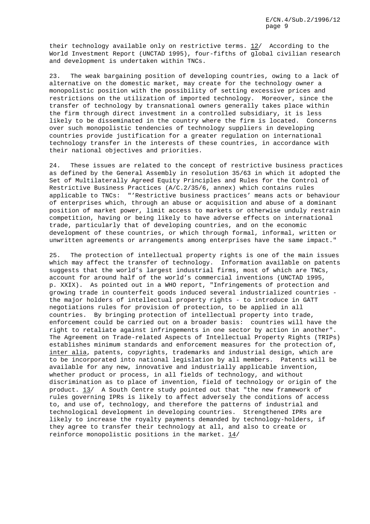their technology available only on restrictive terms. 12/ According to the World Investment Report (UNCTAD 1995), four-fifths of global civilian research and development is undertaken within TNCs.

23. The weak bargaining position of developing countries, owing to a lack of alternative on the domestic market, may create for the technology owner a monopolistic position with the possibility of setting excessive prices and restrictions on the utilization of imported technology. Moreover, since the transfer of technology by transnational owners generally takes place within the firm through direct investment in a controlled subsidiary, it is less likely to be disseminated in the country where the firm is located. Concerns over such monopolistic tendencies of technology suppliers in developing countries provide justification for a greater regulation on international technology transfer in the interests of these countries, in accordance with their national objectives and priorities.

24. These issues are related to the concept of restrictive business practices as defined by the General Assembly in resolution 35/63 in which it adopted the Set of Multilaterally Agreed Equity Principles and Rules for the Control of Restrictive Business Practices (A/C.2/35/6, annex) which contains rules applicable to TNCs: "'Restrictive business practices' means acts or behaviour of enterprises which, through an abuse or acquisition and abuse of a dominant position of market power, limit access to markets or otherwise unduly restrain competition, having or being likely to have adverse effects on international trade, particularly that of developing countries, and on the economic development of these countries, or which through formal, informal, written or unwritten agreements or arrangements among enterprises have the same impact."

25. The protection of intellectual property rights is one of the main issues which may affect the transfer of technology. Information available on patents suggests that the world's largest industrial firms, most of which are TNCs, account for around half of the world's commercial inventions (UNCTAD 1995, p. XXIX). As pointed out in a WHO report, "Infringements of protection and growing trade in counterfeit goods induced several industrialized countries the major holders of intellectual property rights - to introduce in GATT negotiations rules for provision of protection, to be applied in all countries. By bringing protection of intellectual property into trade, enforcement could be carried out on a broader basis: countries will have the right to retaliate against infringements in one sector by action in another". The Agreement on Trade-related Aspects of Intellectual Property Rights (TRIPs) establishes minimum standards and enforcement measures for the protection of, inter alia, patents, copyrights, trademarks and industrial design, which are to be incorporated into national legislation by all members. Patents will be available for any new, innovative and industrially applicable invention, whether product or process, in all fields of technology, and without discrimination as to place of invention, field of technology or origin of the product. 13/ A South Centre study pointed out that "the new framework of rules governing IPRs is likely to affect adversely the conditions of access to, and use of, technology, and therefore the patterns of industrial and technological development in developing countries. Strengthened IPRs are likely to increase the royalty payments demanded by technology-holders, if they agree to transfer their technology at all, and also to create or reinforce monopolistic positions in the market. 14/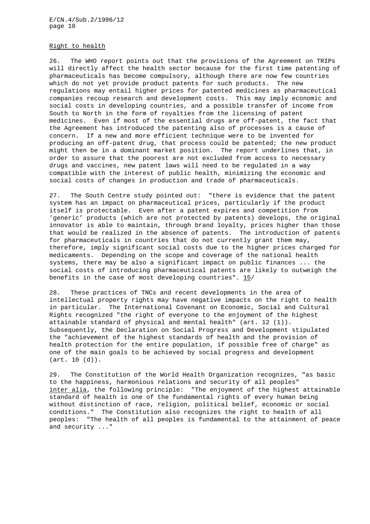#### Right to health

26. The WHO report points out that the provisions of the Agreement on TRIPs will directly affect the health sector because for the first time patenting of pharmaceuticals has become compulsory, although there are now few countries which do not yet provide product patents for such products. The new regulations may entail higher prices for patented medicines as pharmaceutical companies recoup research and development costs. This may imply economic and social costs in developing countries, and a possible transfer of income from South to North in the form of royalties from the licensing of patent medicines. Even if most of the essential drugs are off-patent, the fact that the Agreement has introduced the patenting also of processes is a cause of concern. If a new and more efficient technique were to be invented for producing an off-patent drug, that process could be patented; the new product might then be in a dominant market position. The report underlines that, in order to assure that the poorest are not excluded from access to necessary drugs and vaccines, new patent laws will need to be regulated in a way compatible with the interest of public health, minimizing the economic and social costs of changes in production and trade of pharmaceuticals.

27. The South Centre study pointed out: "there is evidence that the patent system has an impact on pharmaceutical prices, particularly if the product itself is protectable. Even after a patent expires and competition from 'generic' products (which are not protected by patents) develops, the original innovator is able to maintain, through brand loyalty, prices higher than those that would be realized in the absence of patents. The introduction of patents for pharmaceuticals in countries that do not currently grant them may, therefore, imply significant social costs due to the higher prices charged for medicaments. Depending on the scope and coverage of the national health systems, there may be also a significant impact on public finances ... the social costs of introducing pharmaceutical patents are likely to outweigh the benefits in the case of most developing countries". 15/

28. These practices of TNCs and recent developments in the area of intellectual property rights may have negative impacts on the right to health in particular. The International Covenant on Economic, Social and Cultural Rights recognized "the right of everyone to the enjoyment of the highest attainable standard of physical and mental health" (art. 12 (1)). Subsequently, the Declaration on Social Progress and Development stipulated the "achievement of the highest standards of health and the provision of health protection for the entire population, if possible free of charge" as one of the main goals to be achieved by social progress and development (art. 10 (d)).

29. The Constitution of the World Health Organization recognizes, "as basic to the happiness, harmonious relations and security of all peoples" inter alia, the following principle: "The enjoyment of the highest attainable standard of health is one of the fundamental rights of every human being without distinction of race, religion, political belief, economic or social conditions." The Constitution also recognizes the right to health of all peoples: "The health of all peoples is fundamental to the attainment of peace and security ..."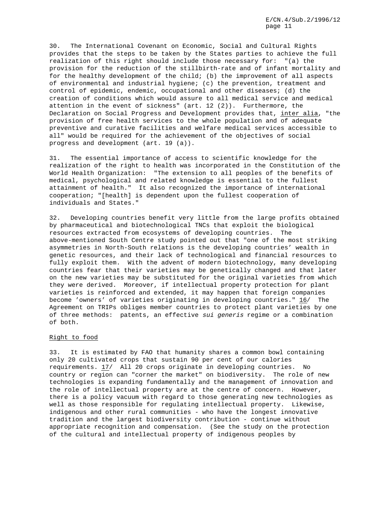30. The International Covenant on Economic, Social and Cultural Rights provides that the steps to be taken by the States parties to achieve the full realization of this right should include those necessary for: "(a) the provision for the reduction of the stillbirth-rate and of infant mortality and for the healthy development of the child; (b) the improvement of all aspects of environmental and industrial hygiene; (c) the prevention, treatment and control of epidemic, endemic, occupational and other diseases; (d) the creation of conditions which would assure to all medical service and medical attention in the event of sickness" (art. 12 (2)). Furthermore, the Declaration on Social Progress and Development provides that, inter alia, "the provision of free health services to the whole population and of adequate preventive and curative facilities and welfare medical services accessible to all" would be required for the achievement of the objectives of social progress and development (art. 19 (a)).

31. The essential importance of access to scientific knowledge for the realization of the right to health was incorporated in the Constitution of the World Health Organization: "The extension to all peoples of the benefits of medical, psychological and related knowledge is essential to the fullest attainment of health." It also recognized the importance of international cooperation; "[health] is dependent upon the fullest cooperation of individuals and States."

32. Developing countries benefit very little from the large profits obtained by pharmaceutical and biotechnological TNCs that exploit the biological resources extracted from ecosystems of developing countries. The above-mentioned South Centre study pointed out that "one of the most striking asymmetries in North-South relations is the developing countries' wealth in genetic resources, and their lack of technological and financial resources to fully exploit them. With the advent of modern biotechnology, many developing countries fear that their varieties may be genetically changed and that later on the new varieties may be substituted for the original varieties from which they were derived. Moreover, if intellectual property protection for plant varieties is reinforced and extended, it may happen that foreign companies become 'owners' of varieties originating in developing countries." 16/ The Agreement on TRIPs obliges member countries to protect plant varieties by one of three methods: patents, an effective sui generis regime or a combination of both.

# Right to food

33. It is estimated by FAO that humanity shares a common bowl containing only 20 cultivated crops that sustain 90 per cent of our calories requirements. 17/ All 20 crops originate in developing countries. No country or region can "corner the market" on biodiversity. The role of new technologies is expanding fundamentally and the management of innovation and the role of intellectual property are at the centre of concern. However, there is a policy vacuum with regard to those generating new technologies as well as those responsible for regulating intellectual property. Likewise, indigenous and other rural communities - who have the longest innovative tradition and the largest biodiversity contribution - continue without appropriate recognition and compensation. (See the study on the protection of the cultural and intellectual property of indigenous peoples by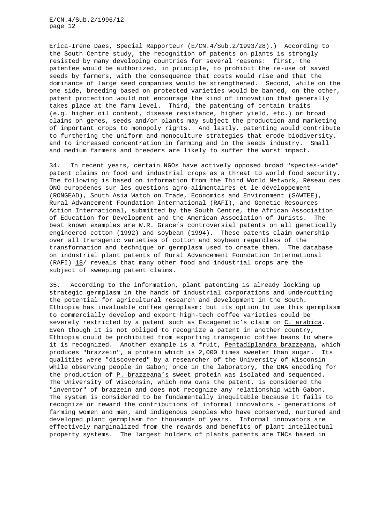Erica-Irene Daes, Special Rapporteur (E/CN.4/Sub.2/1993/28).) According to the South Centre study, the recognition of patents on plants is strongly resisted by many developing countries for several reasons: first, the patentee would be authorized, in principle, to prohibit the re-use of saved seeds by farmers, with the consequence that costs would rise and that the dominance of large seed companies would be strengthened. Second, while on the one side, breeding based on protected varieties would be banned, on the other, patent protection would not encourage the kind of innovation that generally takes place at the farm level. Third, the patenting of certain traits (e.g. higher oil content, disease resistance, higher yield, etc.) or broad claims on genes, seeds and/or plants may subject the production and marketing of important crops to monopoly rights. And lastly, patenting would contribute to furthering the uniform and monoculture strategies that erode biodiversity, and to increased concentration in farming and in the seeds industry. Small and medium farmers and breeders are likely to suffer the worst impact.

34. In recent years, certain NGOs have actively opposed broad "species-wide" patent claims on food and industrial crops as a threat to world food security. The following is based on information from the Third World Network, Réseau des ONG européenes sur les questions agro-alimentaires et le développement (RONGEAD), South Asia Watch on Trade, Economics and Environment (SAWTEE), Rural Advancement Foundation International (RAFI), and Genetic Resources Action International, submitted by the South Centre, the African Association of Education for Development and the American Association of Jurists. The best known examples are W.R. Grace's controversial patents on all genetically engineered cotton (1992) and soybean (1994). These patents claim ownership over all transgenic varieties of cotton and soybean regardless of the transformation and technique or germplasm used to create them. The database on industrial plant patents of Rural Advancement Foundation International (RAFI) 18/ reveals that many other food and industrial crops are the subject of sweeping patent claims.

35. According to the information, plant patenting is already locking up strategic germplasm in the hands of industrial corporations and undercutting the potential for agricultural research and development in the South. Ethiopia has invaluable coffee germplasm; but its option to use this germplasm to commercially develop and export high-tech coffee varieties could be severely restricted by a patent such as Escagenetic's claim on C. arabica. Even though it is not obliged to recognize a patent in another country, Ethiopia could be prohibited from exporting transgenic coffee beans to where it is recognized. Another example is a fruit, Pentadiplandra brazzeana, which produces "brazzein", a protein which is 2,000 times sweeter than sugar. Its qualities were "discovered" by a researcher of the University of Wisconsin while observing people in Gabon; once in the laboratory, the DNA encoding for the production of P. brazzeana's sweet protein was isolated and sequenced. The University of Wisconsin, which now owns the patent, is considered the "inventor" of brazzein and does not recognize any relationship with Gabon. The system is considered to be fundamentally inequitable because it fails to recognize or reward the contributions of informal innovators - generations of farming women and men, and indigenous peoples who have conserved, nurtured and developed plant germplasm for thousands of years. Informal innovators are effectively marginalized from the rewards and benefits of plant intellectual property systems. The largest holders of plants patents are TNCs based in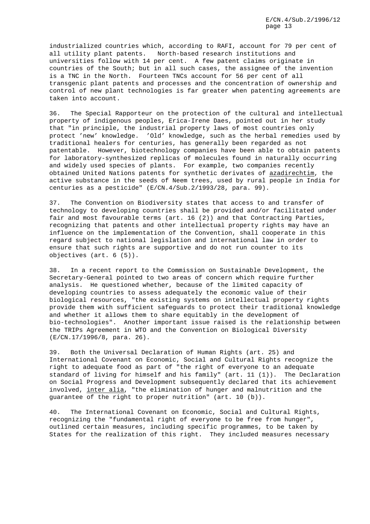industrialized countries which, according to RAFI, account for 79 per cent of all utility plant patents. North-based research institutions and universities follow with 14 per cent. A few patent claims originate in countries of the South; but in all such cases, the assignee of the invention is a TNC in the North. Fourteen TNCs account for 56 per cent of all transgenic plant patents and processes and the concentration of ownership and control of new plant technologies is far greater when patenting agreements are taken into account.

36. The Special Rapporteur on the protection of the cultural and intellectual property of indigenous peoples, Erica-Irene Daes, pointed out in her study that "in principle, the industrial property laws of most countries only protect 'new' knowledge. 'Old' knowledge, such as the herbal remedies used by traditional healers for centuries, has generally been regarded as not patentable. However, biotechnology companies have been able to obtain patents for laboratory-synthesized replicas of molecules found in naturally occurring and widely used species of plants. For example, two companies recently obtained United Nations patents for synthetic derivates of azadirechtim, the active substance in the seeds of Neem trees, used by rural people in India for centuries as a pesticide" (E/CN.4/Sub.2/1993/28, para. 99).

37. The Convention on Biodiversity states that access to and transfer of technology to developing countries shall be provided and/or facilitated under fair and most favourable terms (art. 16 (2)) and that Contracting Parties, recognizing that patents and other intellectual property rights may have an influence on the implementation of the Convention, shall cooperate in this regard subject to national legislation and international law in order to ensure that such rights are supportive and do not run counter to its objectives (art. 6 (5)).

38. In a recent report to the Commission on Sustainable Development, the Secretary-General pointed to two areas of concern which require further analysis. He questioned whether, because of the limited capacity of developing countries to assess adequately the economic value of their biological resources, "the existing systems on intellectual property rights provide them with sufficient safeguards to protect their traditional knowledge and whether it allows them to share equitably in the development of bio-technologies". Another important issue raised is the relationship between the TRIPs Agreement in WTO and the Convention on Biological Diversity (E/CN.17/1996/8, para. 26).

39. Both the Universal Declaration of Human Rights (art. 25) and International Covenant on Economic, Social and Cultural Rights recognize the right to adequate food as part of "the right of everyone to an adequate standard of living for himself and his family" (art. 11 (1)). The Declaration on Social Progress and Development subsequently declared that its achievement involved, inter alia, "the elimination of hunger and malnutrition and the guarantee of the right to proper nutrition" (art. 10 (b)).

40. The International Covenant on Economic, Social and Cultural Rights, recognizing the "fundamental right of everyone to be free from hunger", outlined certain measures, including specific programmes, to be taken by States for the realization of this right. They included measures necessary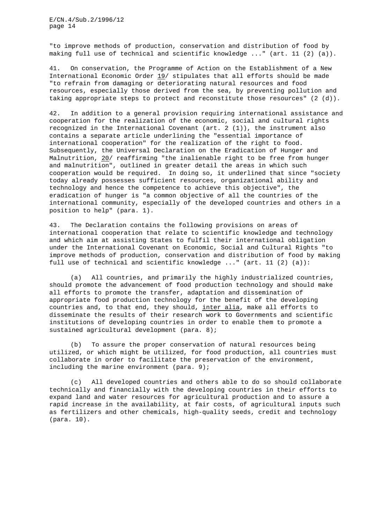"to improve methods of production, conservation and distribution of food by making full use of technical and scientific knowledge ..." (art. 11 (2) (a)).

41. On conservation, the Programme of Action on the Establishment of a New International Economic Order 19/ stipulates that all efforts should be made "to refrain from damaging or deteriorating natural resources and food resources, especially those derived from the sea, by preventing pollution and taking appropriate steps to protect and reconstitute those resources" (2 (d)).

42. In addition to a general provision requiring international assistance and cooperation for the realization of the economic, social and cultural rights recognized in the International Covenant (art. 2 (1)), the instrument also contains a separate article underlining the "essential importance of international cooperation" for the realization of the right to food. Subsequently, the Universal Declaration on the Eradication of Hunger and Malnutrition, 20/ reaffirming "the inalienable right to be free from hunger and malnutrition", outlined in greater detail the areas in which such cooperation would be required. In doing so, it underlined that since "society today already possesses sufficient resources, organizational ability and technology and hence the competence to achieve this objective", the eradication of hunger is "a common objective of all the countries of the international community, especially of the developed countries and others in a position to help" (para. 1).

43. The Declaration contains the following provisions on areas of international cooperation that relate to scientific knowledge and technology and which aim at assisting States to fulfil their international obligation under the International Covenant on Economic, Social and Cultural Rights "to improve methods of production, conservation and distribution of food by making full use of technical and scientific knowledge ..." (art. 11 (2) (a)):

(a) All countries, and primarily the highly industrialized countries, should promote the advancement of food production technology and should make all efforts to promote the transfer, adaptation and dissemination of appropriate food production technology for the benefit of the developing countries and, to that end, they should, inter alia, make all efforts to disseminate the results of their research work to Governments and scientific institutions of developing countries in order to enable them to promote a sustained agricultural development (para. 8);

(b) To assure the proper conservation of natural resources being utilized, or which might be utilized, for food production, all countries must collaborate in order to facilitate the preservation of the environment, including the marine environment (para. 9);

(c) All developed countries and others able to do so should collaborate technically and financially with the developing countries in their efforts to expand land and water resources for agricultural production and to assure a rapid increase in the availability, at fair costs, of agricultural inputs such as fertilizers and other chemicals, high-quality seeds, credit and technology (para. 10).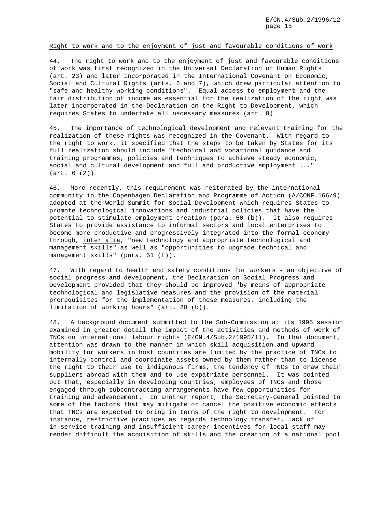## Right to work and to the enjoyment of just and favourable conditions of work

44. The right to work and to the enjoyment of just and favourable conditions of work was first recognized in the Universal Declaration of Human Rights (art. 23) and later incorporated in the International Covenant on Economic, Social and Cultural Rights (arts. 6 and 7), which drew particular attention to "safe and healthy working conditions". Equal access to employment and the fair distribution of income as essential for the realization of the right was later incorporated in the Declaration on the Right to Development, which requires States to undertake all necessary measures (art. 8).

45. The importance of technological development and relevant training for the realization of these rights was recognized in the Covenant. With regard to the right to work, it specified that the steps to be taken by States for its full realization should include "technical and vocational guidance and training programmes, policies and techniques to achieve steady economic, social and cultural development and full and productive employment ..." (art. 6 (2)).

46. More recently, this requirement was reiterated by the international community in the Copenhagen Declaration and Programme of Action (A/CONF.166/9) adopted at the World Summit for Social Development which requires States to promote technological innovations and industrial policies that have the potential to stimulate employment creation (para. 50 (b)). It also requires States to provide assistance to informal sectors and local enterprises to become more productive and progressively integrated into the formal economy through, inter alia, "new technology and appropriate technological and management skills" as well as "opportunities to upgrade technical and management skills" (para. 51 (f)).

47. With regard to health and safety conditions for workers - an objective of social progress and development, the Declaration on Social Progress and Development provided that they should be improved "by means of appropriate technological and legislative measures and the provision of the material prerequisites for the implementation of those measures, including the limitation of working hours" (art. 20 (b)).

48. A background document submitted to the Sub-Commission at its 1995 session examined in greater detail the impact of the activities and methods of work of TNCs on international labour rights (E/CN.4/Sub.2/1995/11). In that document, attention was drawn to the manner in which skill acquisition and upward mobility for workers in host countries are limited by the practice of TNCs to internally control and coordinate assets owned by them rather than to license the right to their use to indigenous firms, the tendency of TNCs to draw their suppliers abroad with them and to use expatriate personnel. It was pointed out that, especially in developing countries, employees of TNCs and those engaged through subcontracting arrangements have few opportunities for training and advancement. In another report, the Secretary-General pointed to some of the factors that may mitigate or cancel the positive economic effects that TNCs are expected to bring in terms of the right to development. For instance, restrictive practices as regards technology transfer, lack of in-service training and insufficient career incentives for local staff may render difficult the acquisition of skills and the creation of a national pool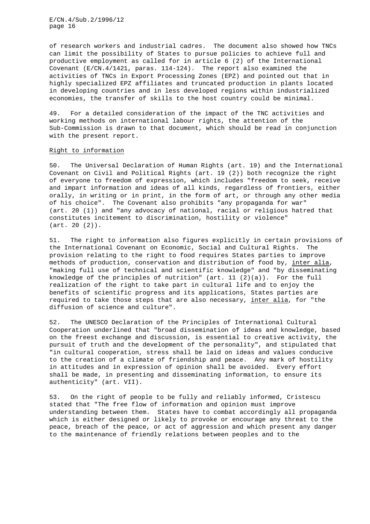of research workers and industrial cadres. The document also showed how TNCs can limit the possibility of States to pursue policies to achieve full and productive employment as called for in article 6 (2) of the International Covenant (E/CN.4/1421, paras. 114-124). The report also examined the activities of TNCs in Export Processing Zones (EPZ) and pointed out that in highly specialized EPZ affiliates and truncated production in plants located in developing countries and in less developed regions within industrialized economies, the transfer of skills to the host country could be minimal.

49. For a detailed consideration of the impact of the TNC activities and working methods on international labour rights, the attention of the Sub-Commission is drawn to that document, which should be read in conjunction with the present report.

#### Right to information

50. The Universal Declaration of Human Rights (art. 19) and the International Covenant on Civil and Political Rights (art. 19 (2)) both recognize the right of everyone to freedom of expression, which includes "freedom to seek, receive and impart information and ideas of all kinds, regardless of frontiers, either orally, in writing or in print, in the form of art, or through any other media of his choice". The Covenant also prohibits "any propaganda for war" (art. 20 (1)) and "any advocacy of national, racial or religious hatred that constitutes incitement to discrimination, hostility or violence" (art. 20 (2)).

51. The right to information also figures explicitly in certain provisions of the International Covenant on Economic, Social and Cultural Rights. The provision relating to the right to food requires States parties to improve methods of production, conservation and distribution of food by, inter alia, "making full use of technical and scientific knowledge" and "by disseminating knowledge of the principles of nutrition"  $(\text{art. } 11 \ (2)(a))$ . For the full realization of the right to take part in cultural life and to enjoy the benefits of scientific progress and its applications, States parties are required to take those steps that are also necessary, inter alia, for "the diffusion of science and culture".

52. The UNESCO Declaration of the Principles of International Cultural Cooperation underlined that "broad dissemination of ideas and knowledge, based on the freest exchange and discussion, is essential to creative activity, the pursuit of truth and the development of the personality", and stipulated that "in cultural cooperation, stress shall be laid on ideas and values conducive to the creation of a climate of friendship and peace. Any mark of hostility in attitudes and in expression of opinion shall be avoided. Every effort shall be made, in presenting and disseminating information, to ensure its authenticity" (art. VII).

53. On the right of people to be fully and reliably informed, Cristescu stated that "The free flow of information and opinion must improve understanding between them. States have to combat accordingly all propaganda which is either designed or likely to provoke or encourage any threat to the peace, breach of the peace, or act of aggression and which present any danger to the maintenance of friendly relations between peoples and to the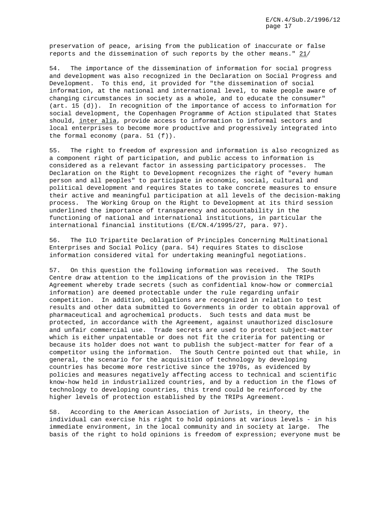preservation of peace, arising from the publication of inaccurate or false reports and the dissemination of such reports by the other means." 21/

54. The importance of the dissemination of information for social progress and development was also recognized in the Declaration on Social Progress and Development. To this end, it provided for "the dissemination of social information, at the national and international level, to make people aware of changing circumstances in society as a whole, and to educate the consumer" (art. 15 (d)). In recognition of the importance of access to information for social development, the Copenhagen Programme of Action stipulated that States should, inter alia, provide access to information to informal sectors and local enterprises to become more productive and progressively integrated into the formal economy (para. 51 (f)).

55. The right to freedom of expression and information is also recognized as a component right of participation, and public access to information is considered as a relevant factor in assessing participatory processes. The Declaration on the Right to Development recognizes the right of "every human person and all peoples" to participate in economic, social, cultural and political development and requires States to take concrete measures to ensure their active and meaningful participation at all levels of the decision-making process. The Working Group on the Right to Development at its third session underlined the importance of transparency and accountability in the functioning of national and international institutions, in particular the international financial institutions (E/CN.4/1995/27, para. 97).

56. The ILO Tripartite Declaration of Principles Concerning Multinational Enterprises and Social Policy (para. 54) requires States to disclose information considered vital for undertaking meaningful negotiations.

57. On this question the following information was received. The South Centre draw attention to the implications of the provision in the TRIPs Agreement whereby trade secrets (such as confidential know-how or commercial information) are deemed protectable under the rule regarding unfair competition. In addition, obligations are recognized in relation to test results and other data submitted to Governments in order to obtain approval of pharmaceutical and agrochemical products. Such tests and data must be protected, in accordance with the Agreement, against unauthorized disclosure and unfair commercial use. Trade secrets are used to protect subject-matter which is either unpatentable or does not fit the criteria for patenting or because its holder does not want to publish the subject-matter for fear of a competitor using the information. The South Centre pointed out that while, in general, the scenario for the acquisition of technology by developing countries has become more restrictive since the 1970s, as evidenced by policies and measures negatively affecting access to technical and scientific know-how held in industrialized countries, and by a reduction in the flows of technology to developing countries, this trend could be reinforced by the higher levels of protection established by the TRIPs Agreement.

58. According to the American Association of Jurists, in theory, the individual can exercise his right to hold opinions at various levels - in his immediate environment, in the local community and in society at large. The basis of the right to hold opinions is freedom of expression; everyone must be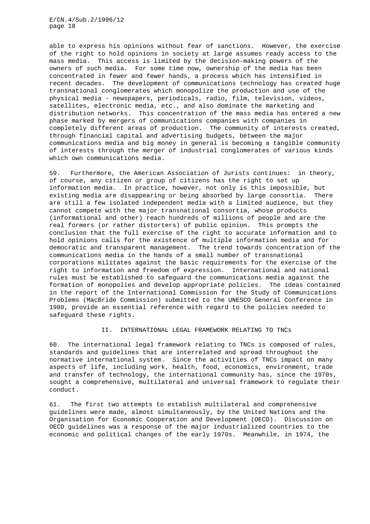able to express his opinions without fear of sanctions. However, the exercise of the right to hold opinions in society at large assumes ready access to the mass media. This access is limited by the decision-making powers of the owners of such media. For some time now, ownership of the media has been concentrated in fewer and fewer hands, a process which has intensified in recent decades. The development of communications technology has created huge transnational conglomerates which monopolize the production and use of the physical media - newspapers, periodicals, radio, film, television, videos, satellites, electronic media, etc., and also dominate the marketing and distribution networks. This concentration of the mass media has entered a new phase marked by mergers of communications companies with companies in completely different areas of production. The community of interests created, through financial capital and advertising budgets, between the major communications media and big money in general is becoming a tangible community of interests through the merger of industrial conglomerates of various kinds which own communications media.

59. Furthermore, the American Association of Jurists continues: in theory, of course, any citizen or group of citizens has the right to set up information media. In practice, however, not only is this impossible, but existing media are disappearing or being absorbed by large consortia. There are still a few isolated independent media with a limited audience, but they cannot compete with the major transnational consortia, whose products (informational and other) reach hundreds of millions of people and are the real formers (or rather distorters) of public opinion. This prompts the conclusion that the full exercise of the right to accurate information and to hold opinions calls for the existence of multiple information media and for democratic and transparent management. The trend towards concentration of the communications media in the hands of a small number of transnational corporations militates against the basic requirements for the exercise of the right to information and freedom of expression. International and national rules must be established to safeguard the communications media against the formation of monopolies and develop appropriate policies. The ideas contained in the report of the International Commission for the Study of Communications Problems (MacBride Commission) submitted to the UNESCO General Conference in 1980, provide an essential reference with regard to the policies needed to safeguard these rights.

#### II. INTERNATIONAL LEGAL FRAMEWORK RELATING TO TNCs

60. The international legal framework relating to TNCs is composed of rules, standards and guidelines that are interrelated and spread throughout the normative international system. Since the activities of TNCs impact on many aspects of life, including work, health, food, economics, environment, trade and transfer of technology, the international community has, since the 1970s, sought a comprehensive, multilateral and universal framework to regulate their conduct.

61. The first two attempts to establish multilateral and comprehensive guidelines were made, almost simultaneously, by the United Nations and the Organisation for Economic Cooperation and Development (OECD). Discussion on OECD guidelines was a response of the major industrialized countries to the economic and political changes of the early 1970s. Meanwhile, in 1974, the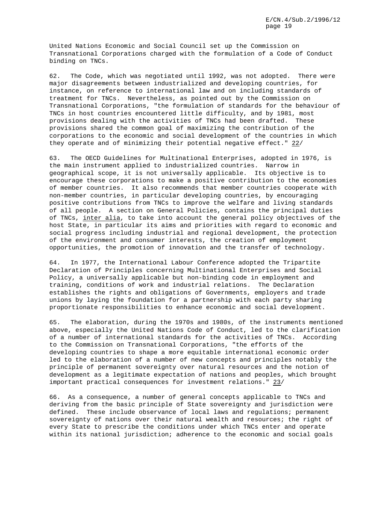United Nations Economic and Social Council set up the Commission on Transnational Corporations charged with the formulation of a Code of Conduct binding on TNCs.

62. The Code, which was negotiated until 1992, was not adopted. There were major disagreements between industrialized and developing countries, for instance, on reference to international law and on including standards of treatment for TNCs. Nevertheless, as pointed out by the Commission on Transnational Corporations, "the formulation of standards for the behaviour of TNCs in host countries encountered little difficulty, and by 1981, most provisions dealing with the activities of TNCs had been drafted. These provisions shared the common goal of maximizing the contribution of the corporations to the economic and social development of the countries in which they operate and of minimizing their potential negative effect." 22/

63. The OECD Guidelines for Multinational Enterprises, adopted in 1976, is the main instrument applied to industrialized countries. Narrow in geographical scope, it is not universally applicable. Its objective is to encourage these corporations to make a positive contribution to the economies of member countries. It also recommends that member countries cooperate with non-member countries, in particular developing countries, by encouraging positive contributions from TNCs to improve the welfare and living standards of all people. A section on General Policies, contains the principal duties of TNCs, inter alia, to take into account the general policy objectives of the host State, in particular its aims and priorities with regard to economic and social progress including industrial and regional development, the protection of the environment and consumer interests, the creation of employment opportunities, the promotion of innovation and the transfer of technology.

64. In 1977, the International Labour Conference adopted the Tripartite Declaration of Principles concerning Multinational Enterprises and Social Policy, a universally applicable but non-binding code in employment and training, conditions of work and industrial relations. The Declaration establishes the rights and obligations of Governments, employers and trade unions by laying the foundation for a partnership with each party sharing proportionate responsibilities to enhance economic and social development.

65. The elaboration, during the 1970s and 1980s, of the instruments mentioned above, especially the United Nations Code of Conduct, led to the clarification of a number of international standards for the activities of TNCs. According to the Commission on Transnational Corporations, "the efforts of the developing countries to shape a more equitable international economic order led to the elaboration of a number of new concepts and principles notably the principle of permanent sovereignty over natural resources and the notion of development as a legitimate expectation of nations and peoples, which brought important practical consequences for investment relations." 23/

66. As a consequence, a number of general concepts applicable to TNCs and deriving from the basic principle of State sovereignty and jurisdiction were defined. These include observance of local laws and regulations; permanent sovereignty of nations over their natural wealth and resources; the right of every State to prescribe the conditions under which TNCs enter and operate within its national jurisdiction; adherence to the economic and social goals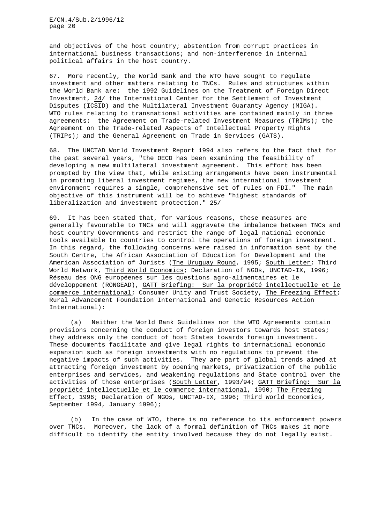and objectives of the host country; abstention from corrupt practices in international business transactions; and non-interference in internal political affairs in the host country.

67. More recently, the World Bank and the WTO have sought to regulate investment and other matters relating to TNCs. Rules and structures within the World Bank are: the 1992 Guidelines on the Treatment of Foreign Direct Investment, 24/ the International Center for the Settlement of Investment Disputes (ICSID) and the Multilateral Investment Guaranty Agency (MIGA). WTO rules relating to transnational activities are contained mainly in three agreements: the Agreement on Trade-related Investment Measures (TRIMs); the Agreement on the Trade-related Aspects of Intellectual Property Rights (TRIPs); and the General Agreement on Trade in Services (GATS).

68. The UNCTAD World Investment Report 1994 also refers to the fact that for the past several years, "the OECD has been examining the feasibility of developing a new multilateral investment agreement. This effort has been prompted by the view that, while existing arrangements have been instrumental in promoting liberal investment regimes, the new international investment environment requires a single, comprehensive set of rules on FDI." The main objective of this instrument will be to achieve "highest standards of liberalization and investment protection." 25/

69. It has been stated that, for various reasons, these measures are generally favourable to TNCs and will aggravate the imbalance between TNCs and host country Governments and restrict the range of legal national economic tools available to countries to control the operations of foreign investment. In this regard, the following concerns were raised in information sent by the South Centre, the African Association of Education for Development and the American Association of Jurists (The Uruguay Round, 1995; South Letter; Third World Network, Third World Economics; Declaration of NGOs, UNCTAD-IX, 1996; Réseau des ONG européenes sur les questions agro-alimentaires et le développement (RONGEAD), GATT Briefing: Sur la propriété intellectuelle et le commerce international; Consumer Unity and Trust Society, The Freezing Effect; Rural Advancement Foundation International and Genetic Resources Action International):

(a) Neither the World Bank Guidelines nor the WTO Agreements contain provisions concerning the conduct of foreign investors towards host States; they address only the conduct of host States towards foreign investment. These documents facilitate and give legal rights to international economic expansion such as foreign investments with no regulations to prevent the negative impacts of such activities. They are part of global trends aimed at attracting foreign investment by opening markets, privatization of the public enterprises and services, and weakening regulations and State control over the activities of those enterprises (South Letter, 1993/94; GATT Briefing: Sur la propriété intellectuelle et le commerce international, 1990; The Freezing Effect, 1996; Declaration of NGOs, UNCTAD-IX, 1996; Third World Economics, September 1994, January 1996);

(b) In the case of WTO, there is no reference to its enforcement powers over TNCs. Moreover, the lack of a formal definition of TNCs makes it more difficult to identify the entity involved because they do not legally exist.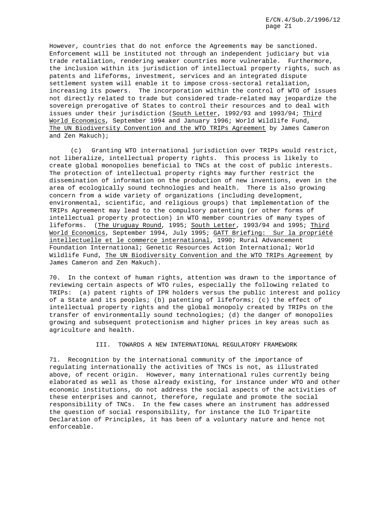However, countries that do not enforce the Agreements may be sanctioned. Enforcement will be instituted not through an independent judiciary but via trade retaliation, rendering weaker countries more vulnerable. Furthermore, the inclusion within its jurisdiction of intellectual property rights, such as patents and lifeforms, investment, services and an integrated dispute settlement system will enable it to impose cross-sectoral retaliation, increasing its powers. The incorporation within the control of WTO of issues not directly related to trade but considered trade-related may jeopardize the sovereign prerogative of States to control their resources and to deal with issues under their jurisdiction (South Letter, 1992/93 and 1993/94; Third World Economics, September 1994 and January 1996; World Wildlife Fund, The UN Biodiversity Convention and the WTO TRIPs Agreement by James Cameron and Zen Makuch);

(c) Granting WTO international jurisdiction over TRIPs would restrict, not liberalize, intellectual property rights. This process is likely to create global monopolies beneficial to TNCs at the cost of public interests. The protection of intellectual property rights may further restrict the dissemination of information on the production of new inventions, even in the area of ecologically sound technologies and health. There is also growing concern from a wide variety of organizations (including development, environmental, scientific, and religious groups) that implementation of the TRIPs Agreement may lead to the compulsory patenting (or other forms of intellectual property protection) in WTO member countries of many types of lifeforms. (The Uruguay Round, 1995; South Letter, 1993/94 and 1995; Third World Economics, September 1994, July 1995; GATT Briefing: Sur la propriété intellectuelle et le commerce international, 1990; Rural Advancement Foundation International; Genetic Resources Action International; World Wildlife Fund, The UN Biodiversity Convention and the WTO TRIPs Agreement by James Cameron and Zen Makuch).

70. In the context of human rights, attention was drawn to the importance of reviewing certain aspects of WTO rules, especially the following related to TRIPs: (a) patent rights of IPR holders versus the public interest and policy of a State and its peoples; (b) patenting of lifeforms; (c) the effect of intellectual property rights and the global monopoly created by TRIPs on the transfer of environmentally sound technologies; (d) the danger of monopolies growing and subsequent protectionism and higher prices in key areas such as agriculture and health.

# III. TOWARDS A NEW INTERNATIONAL REGULATORY FRAMEWORK

71. Recognition by the international community of the importance of regulating internationally the activities of TNCs is not, as illustrated above, of recent origin. However, many international rules currently being elaborated as well as those already existing, for instance under WTO and other economic institutions, do not address the social aspects of the activities of these enterprises and cannot, therefore, regulate and promote the social responsibility of TNCs. In the few cases where an instrument has addressed the question of social responsibility, for instance the ILO Tripartite Declaration of Principles, it has been of a voluntary nature and hence not enforceable.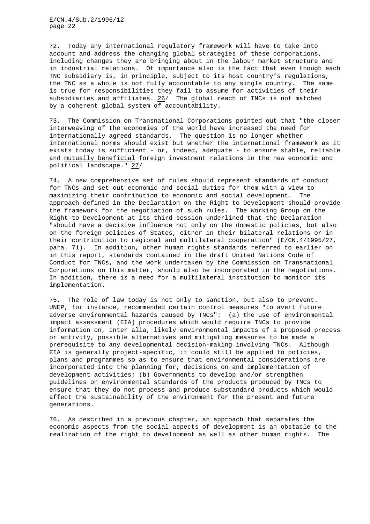72. Today any international regulatory framework will have to take into account and address the changing global strategies of these corporations, including changes they are bringing about in the labour market structure and in industrial relations. Of importance also is the fact that even though each TNC subsidiary is, in principle, subject to its host country's regulations, the TNC as a whole is not fully accountable to any single country. The same is true for responsibilities they fail to assume for activities of their subsidiaries and affiliates.  $26/$  The global reach of TNCs is not matched by a coherent global system of accountability.

73. The Commission on Transnational Corporations pointed out that "the closer interweaving of the economies of the world have increased the need for internationally agreed standards. The question is no longer whether international norms should exist but whether the international framework as it exists today is sufficient - or, indeed, adequate - to ensure stable, reliable and mutually beneficial foreign investment relations in the new economic and political landscape." 27/

74. A new comprehensive set of rules should represent standards of conduct for TNCs and set out economic and social duties for them with a view to maximizing their contribution to economic and social development. The approach defined in the Declaration on the Right to Development should provide the framework for the negotiation of such rules. The Working Group on the Right to Development at its third session underlined that the Declaration "should have a decisive influence not only on the domestic policies, but also on the foreign policies of States, either in their bilateral relations or in their contribution to regional and multilateral cooperation" (E/CN.4/1995/27, para. 71). In addition, other human rights standards referred to earlier on in this report, standards contained in the draft United Nations Code of Conduct for TNCs, and the work undertaken by the Commission on Transnational Corporations on this matter, should also be incorporated in the negotiations. In addition, there is a need for a multilateral institution to monitor its implementation.

75. The role of law today is not only to sanction, but also to prevent. UNEP, for instance, recommended certain control measures "to avert future adverse environmental hazards caused by TNCs": (a) the use of environmental impact assessment (EIA) procedures which would require TNCs to provide information on, inter alia, likely environmental impacts of a proposed process or activity, possible alternatives and mitigating measures to be made a prerequisite to any developmental decision-making involving TNCs. Although EIA is generally project-specific, it could still be applied to policies, plans and programmes so as to ensure that environmental considerations are incorporated into the planning for, decisions on and implementation of development activities; (b) Governments to develop and/or strengthen guidelines on environmental standards of the products produced by TNCs to ensure that they do not process and produce substandard products which would affect the sustainability of the environment for the present and future generations.

76. As described in a previous chapter, an approach that separates the economic aspects from the social aspects of development is an obstacle to the realization of the right to development as well as other human rights. The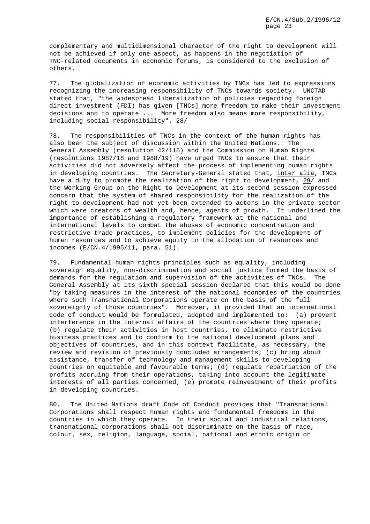complementary and multidimensional character of the right to development will not be achieved if only one aspect, as happens in the negotiation of TNC-related documents in economic forums, is considered to the exclusion of others.

77. The globalization of economic activities by TNCs has led to expressions recognizing the increasing responsibility of TNCs towards society. UNCTAD stated that, "the widespread liberalization of policies regarding foreign direct investment (FDI) has given [TNCs] more freedom to make their investment decisions and to operate ... More freedom also means more responsibility, including social responsibility". 28/

78. The responsibilities of TNCs in the context of the human rights has also been the subject of discussion within the United Nations. The General Assembly (resolution 42/115) and the Commission on Human Rights (resolutions 1987/18 and 1988/19) have urged TNCs to ensure that their activities did not adversely affect the process of implementing human rights in developing countries. The Secretary-General stated that, inter alia, TNCs have a duty to promote the realization of the right to development, 29/ and the Working Group on the Right to Development at its second session expressed concern that the system of shared responsibility for the realization of the right to development had not yet been extended to actors in the private sector which were creators of wealth and, hence, agents of growth. It underlined the importance of establishing a regulatory framework at the national and international levels to combat the abuses of economic concentration and restrictive trade practices, to implement policies for the development of human resources and to achieve equity in the allocation of resources and incomes (E/CN.4/1995/11, para. 51).

79. Fundamental human rights principles such as equality, including sovereign equality, non-discrimination and social justice formed the basis of demands for the regulation and supervision of the activities of TNCs. The General Assembly at its sixth special session declared that this would be done "by taking measures in the interest of the national economies of the countries where such Transnational Corporations operate on the basis of the full sovereignty of those countries". Moreover, it provided that an international code of conduct would be formulated, adopted and implemented to: (a) prevent interference in the internal affairs of the countries where they operate; (b) regulate their activities in host countries, to eliminate restrictive business practices and to conform to the national development plans and objectives of countries, and in this context facilitate, as necessary, the review and revision of previously concluded arrangements; (c) bring about assistance, transfer of technology and management skills to developing countries on equitable and favourable terms; (d) regulate repatriation of the profits accruing from their operations, taking into account the legitimate interests of all parties concerned; (e) promote reinvestment of their profits in developing countries.

80. The United Nations draft Code of Conduct provides that "Transnational Corporations shall respect human rights and fundamental freedoms in the countries in which they operate. In their social and industrial relations, transnational corporations shall not discriminate on the basis of race, colour, sex, religion, language, social, national and ethnic origin or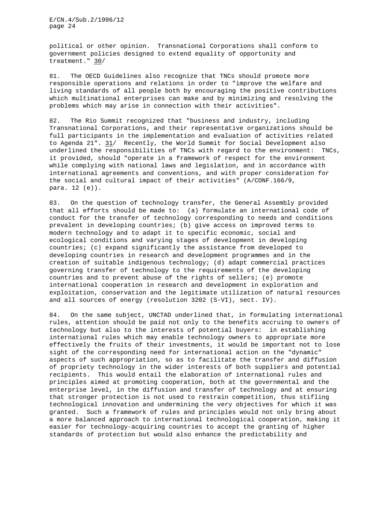political or other opinion. Transnational Corporations shall conform to government policies designed to extend equality of opportunity and treatment." 30/

81. The OECD Guidelines also recognize that TNCs should promote more responsible operations and relations in order to "improve the welfare and living standards of all people both by encouraging the positive contributions which multinational enterprises can make and by minimizing and resolving the problems which may arise in connection with their activities".

82. The Rio Summit recognized that "business and industry, including Transnational Corporations, and their representative organizations should be full participants in the implementation and evaluation of activities related to Agenda 21". 31/ Recently, the World Summit for Social Development also underlined the responsibilities of TNCs with regard to the environment: TNCs, it provided, should "operate in a framework of respect for the environment while complying with national laws and legislation, and in accordance with international agreements and conventions, and with proper consideration for the social and cultural impact of their activities" (A/CONF.166/9, para. 12 (e)).

83. On the question of technology transfer, the General Assembly provided that all efforts should be made to: (a) formulate an international code of conduct for the transfer of technology corresponding to needs and conditions prevalent in developing countries; (b) give access on improved terms to modern technology and to adapt it to specific economic, social and ecological conditions and varying stages of development in developing countries; (c) expand significantly the assistance from developed to developing countries in research and development programmes and in the creation of suitable indigenous technology; (d) adapt commercial practices governing transfer of technology to the requirements of the developing countries and to prevent abuse of the rights of sellers; (e) promote international cooperation in research and development in exploration and exploitation, conservation and the legitimate utilization of natural resources and all sources of energy (resolution 3202 (S-VI), sect. IV).

84. On the same subject, UNCTAD underlined that, in formulating international rules, attention should be paid not only to the benefits accruing to owners of technology but also to the interests of potential buyers: in establishing international rules which may enable technology owners to appropriate more effectively the fruits of their investments, it would be important not to lose sight of the corresponding need for international action on the "dynamic" aspects of such appropriation, so as to facilitate the transfer and diffusion of propriety technology in the wider interests of both suppliers and potential recipients. This would entail the elaboration of international rules and principles aimed at promoting cooperation, both at the governmental and the enterprise level, in the diffusion and transfer of technology and at ensuring that stronger protection is not used to restrain competition, thus stifling technological innovation and undermining the very objectives for which it was granted. Such a framework of rules and principles would not only bring about a more balanced approach to international technological cooperation, making it easier for technology-acquiring countries to accept the granting of higher standards of protection but would also enhance the predictability and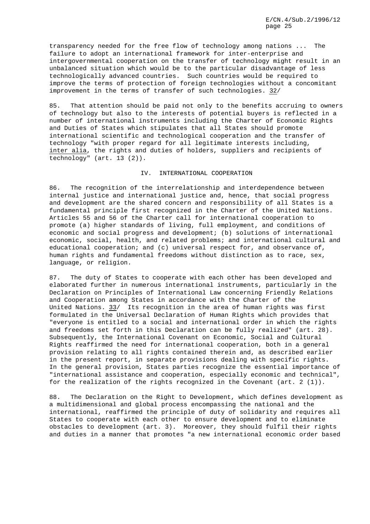transparency needed for the free flow of technology among nations ... The failure to adopt an international framework for inter-enterprise and intergovernmental cooperation on the transfer of technology might result in an unbalanced situation which would be to the particular disadvantage of less technologically advanced countries. Such countries would be required to improve the terms of protection of foreign technologies without a concomitant improvement in the terms of transfer of such technologies. 32/

85. That attention should be paid not only to the benefits accruing to owners of technology but also to the interests of potential buyers is reflected in a number of international instruments including the Charter of Economic Rights and Duties of States which stipulates that all States should promote international scientific and technological cooperation and the transfer of technology "with proper regard for all legitimate interests including, inter alia, the rights and duties of holders, suppliers and recipients of technology" (art. 13 (2)).

## IV. INTERNATIONAL COOPERATION

86. The recognition of the interrelationship and interdependence between internal justice and international justice and, hence, that social progress and development are the shared concern and responsibility of all States is a fundamental principle first recognized in the Charter of the United Nations. Articles 55 and 56 of the Charter call for international cooperation to promote (a) higher standards of living, full employment, and conditions of economic and social progress and development; (b) solutions of international economic, social, health, and related problems; and international cultural and educational cooperation; and (c) universal respect for, and observance of, human rights and fundamental freedoms without distinction as to race, sex, language, or religion.

87. The duty of States to cooperate with each other has been developed and elaborated further in numerous international instruments, particularly in the Declaration on Principles of International Law concerning Friendly Relations and Cooperation among States in accordance with the Charter of the United Nations. 33/ Its recognition in the area of human rights was first formulated in the Universal Declaration of Human Rights which provides that "everyone is entitled to a social and international order in which the rights and freedoms set forth in this Declaration can be fully realized" (art. 28). Subsequently, the International Covenant on Economic, Social and Cultural Rights reaffirmed the need for international cooperation, both in a general provision relating to all rights contained therein and, as described earlier in the present report, in separate provisions dealing with specific rights. In the general provision, States parties recognize the essential importance of "international assistance and cooperation, especially economic and technical", for the realization of the rights recognized in the Covenant  $(\text{art. } 2 \cdot (1))$ .

88. The Declaration on the Right to Development, which defines development as a multidimensional and global process encompassing the national and the international, reaffirmed the principle of duty of solidarity and requires all States to cooperate with each other to ensure development and to eliminate obstacles to development (art. 3). Moreover, they should fulfil their rights and duties in a manner that promotes "a new international economic order based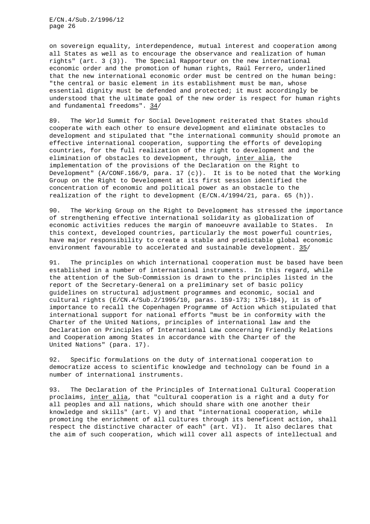on sovereign equality, interdependence, mutual interest and cooperation among all States as well as to encourage the observance and realization of human rights" (art. 3 (3)). The Special Rapporteur on the new international economic order and the promotion of human rights, Raúl Ferrero, underlined that the new international economic order must be centred on the human being: "the central or basic element in its establishment must be man, whose essential dignity must be defended and protected; it must accordingly be understood that the ultimate goal of the new order is respect for human rights and fundamental freedoms". 34/

89. The World Summit for Social Development reiterated that States should cooperate with each other to ensure development and eliminate obstacles to development and stipulated that "the international community should promote an effective international cooperation, supporting the efforts of developing countries, for the full realization of the right to development and the elimination of obstacles to development, through, inter alia, the implementation of the provisions of the Declaration on the Right to Development" (A/CONF.166/9, para. 17 (c)). It is to be noted that the Working Group on the Right to Development at its first session identified the concentration of economic and political power as an obstacle to the realization of the right to development  $(E/CN.4/1994/21,$  para. 65 (h)).

90. The Working Group on the Right to Development has stressed the importance of strengthening effective international solidarity as globalization of economic activities reduces the margin of manoeuvre available to States. In this context, developed countries, particularly the most powerful countries, have major responsibility to create a stable and predictable global economic environment favourable to accelerated and sustainable development. 35/

91. The principles on which international cooperation must be based have been established in a number of international instruments. In this regard, while the attention of the Sub-Commission is drawn to the principles listed in the report of the Secretary-General on a preliminary set of basic policy guidelines on structural adjustment programmes and economic, social and cultural rights (E/CN.4/Sub.2/1995/10, paras. 159-173; 175-184), it is of importance to recall the Copenhagen Programme of Action which stipulated that international support for national efforts "must be in conformity with the Charter of the United Nations, principles of international law and the Declaration on Principles of International Law concerning Friendly Relations and Cooperation among States in accordance with the Charter of the United Nations" (para. 17).

92. Specific formulations on the duty of international cooperation to democratize access to scientific knowledge and technology can be found in a number of international instruments.

93. The Declaration of the Principles of International Cultural Cooperation proclaims, inter alia, that "cultural cooperation is a right and a duty for all peoples and all nations, which should share with one another their knowledge and skills" (art. V) and that "international cooperation, while promoting the enrichment of all cultures through its beneficent action, shall respect the distinctive character of each" (art. VI). It also declares that the aim of such cooperation, which will cover all aspects of intellectual and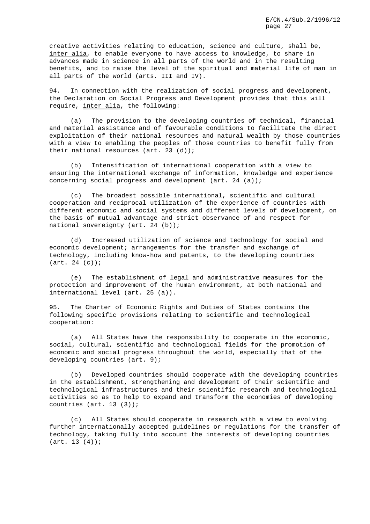creative activities relating to education, science and culture, shall be, inter alia, to enable everyone to have access to knowledge, to share in advances made in science in all parts of the world and in the resulting benefits, and to raise the level of the spiritual and material life of man in all parts of the world (arts. III and IV).

94. In connection with the realization of social progress and development, the Declaration on Social Progress and Development provides that this will require, inter alia, the following:

(a) The provision to the developing countries of technical, financial and material assistance and of favourable conditions to facilitate the direct exploitation of their national resources and natural wealth by those countries with a view to enabling the peoples of those countries to benefit fully from their national resources (art. 23 (d));

(b) Intensification of international cooperation with a view to ensuring the international exchange of information, knowledge and experience concerning social progress and development (art. 24 (a));

(c) The broadest possible international, scientific and cultural cooperation and reciprocal utilization of the experience of countries with different economic and social systems and different levels of development, on the basis of mutual advantage and strict observance of and respect for national sovereignty (art. 24 (b));

(d) Increased utilization of science and technology for social and economic development; arrangements for the transfer and exchange of technology, including know-how and patents, to the developing countries (art. 24 (c));

(e) The establishment of legal and administrative measures for the protection and improvement of the human environment, at both national and international level (art. 25 (a)).

95. The Charter of Economic Rights and Duties of States contains the following specific provisions relating to scientific and technological cooperation:

(a) All States have the responsibility to cooperate in the economic, social, cultural, scientific and technological fields for the promotion of economic and social progress throughout the world, especially that of the developing countries (art. 9);

(b) Developed countries should cooperate with the developing countries in the establishment, strengthening and development of their scientific and technological infrastructures and their scientific research and technological activities so as to help to expand and transform the economies of developing countries (art. 13 (3));

(c) All States should cooperate in research with a view to evolving further internationally accepted guidelines or regulations for the transfer of technology, taking fully into account the interests of developing countries  $(art. 13 (4));$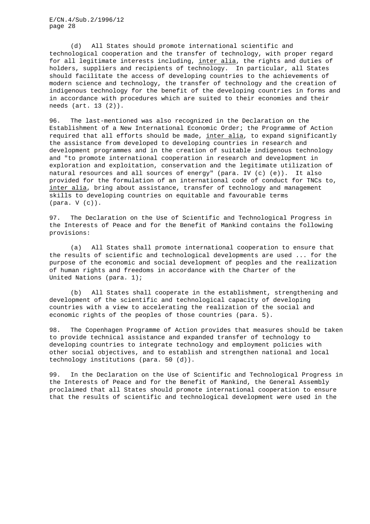(d) All States should promote international scientific and technological cooperation and the transfer of technology, with proper regard for all legitimate interests including, inter alia, the rights and duties of holders, suppliers and recipients of technology. In particular, all States should facilitate the access of developing countries to the achievements of modern science and technology, the transfer of technology and the creation of indigenous technology for the benefit of the developing countries in forms and in accordance with procedures which are suited to their economies and their needs (art. 13 (2)).

96. The last-mentioned was also recognized in the Declaration on the Establishment of a New International Economic Order; the Programme of Action required that all efforts should be made, inter alia, to expand significantly the assistance from developed to developing countries in research and development programmes and in the creation of suitable indigenous technology and "to promote international cooperation in research and development in exploration and exploitation, conservation and the legitimate utilization of natural resources and all sources of energy" (para. IV (c) (e)). It also provided for the formulation of an international code of conduct for TNCs to, inter alia, bring about assistance, transfer of technology and management skills to developing countries on equitable and favourable terms (para. V (c)).

97. The Declaration on the Use of Scientific and Technological Progress in the Interests of Peace and for the Benefit of Mankind contains the following provisions:

(a) All States shall promote international cooperation to ensure that the results of scientific and technological developments are used ... for the purpose of the economic and social development of peoples and the realization of human rights and freedoms in accordance with the Charter of the United Nations (para. 1);

(b) All States shall cooperate in the establishment, strengthening and development of the scientific and technological capacity of developing countries with a view to accelerating the realization of the social and economic rights of the peoples of those countries (para. 5).

98. The Copenhagen Programme of Action provides that measures should be taken to provide technical assistance and expanded transfer of technology to developing countries to integrate technology and employment policies with other social objectives, and to establish and strengthen national and local technology institutions (para. 50 (d)).

99. In the Declaration on the Use of Scientific and Technological Progress in the Interests of Peace and for the Benefit of Mankind, the General Assembly proclaimed that all States should promote international cooperation to ensure that the results of scientific and technological development were used in the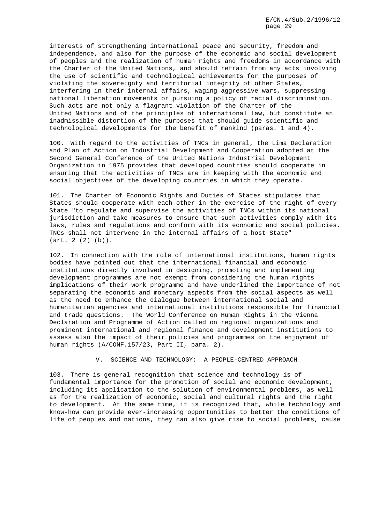interests of strengthening international peace and security, freedom and independence, and also for the purpose of the economic and social development of peoples and the realization of human rights and freedoms in accordance with the Charter of the United Nations, and should refrain from any acts involving the use of scientific and technological achievements for the purposes of violating the sovereignty and territorial integrity of other States, interfering in their internal affairs, waging aggressive wars, suppressing national liberation movements or pursuing a policy of racial discrimination. Such acts are not only a flagrant violation of the Charter of the United Nations and of the principles of international law, but constitute an inadmissible distortion of the purposes that should guide scientific and technological developments for the benefit of mankind (paras. 1 and 4).

100. With regard to the activities of TNCs in general, the Lima Declaration and Plan of Action on Industrial Development and Cooperation adopted at the Second General Conference of the United Nations Industrial Development Organization in 1975 provides that developed countries should cooperate in ensuring that the activities of TNCs are in keeping with the economic and social objectives of the developing countries in which they operate.

101. The Charter of Economic Rights and Duties of States stipulates that States should cooperate with each other in the exercise of the right of every State "to regulate and supervise the activities of TNCs within its national jurisdiction and take measures to ensure that such activities comply with its laws, rules and regulations and conform with its economic and social policies. TNCs shall not intervene in the internal affairs of a host State" (art. 2 (2) (b)).

102. In connection with the role of international institutions, human rights bodies have pointed out that the international financial and economic institutions directly involved in designing, promoting and implementing development programmes are not exempt from considering the human rights implications of their work programme and have underlined the importance of not separating the economic and monetary aspects from the social aspects as well as the need to enhance the dialogue between international social and humanitarian agencies and international institutions responsible for financial and trade questions. The World Conference on Human Rights in the Vienna Declaration and Programme of Action called on regional organizations and prominent international and regional finance and development institutions to assess also the impact of their policies and programmes on the enjoyment of human rights (A/CONF.157/23, Part II, para. 2).

V. SCIENCE AND TECHNOLOGY: A PEOPLE-CENTRED APPROACH

103. There is general recognition that science and technology is of fundamental importance for the promotion of social and economic development, including its application to the solution of environmental problems, as well as for the realization of economic, social and cultural rights and the right to development. At the same time, it is recognized that, while technology and know-how can provide ever-increasing opportunities to better the conditions of life of peoples and nations, they can also give rise to social problems, cause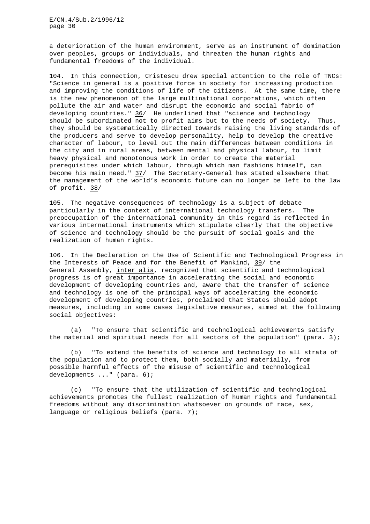a deterioration of the human environment, serve as an instrument of domination over peoples, groups or individuals, and threaten the human rights and fundamental freedoms of the individual.

104. In this connection, Cristescu drew special attention to the role of TNCs: "Science in general is a positive force in society for increasing production and improving the conditions of life of the citizens. At the same time, there is the new phenomenon of the large multinational corporations, which often pollute the air and water and disrupt the economic and social fabric of developing countries." 36/ He underlined that "science and technology should be subordinated not to profit aims but to the needs of society. Thus, they should be systematically directed towards raising the living standards of the producers and serve to develop personality, help to develop the creative character of labour, to level out the main differences between conditions in the city and in rural areas, between mental and physical labour, to limit heavy physical and monotonous work in order to create the material prerequisites under which labour, through which man fashions himself, can become his main need." 37/ The Secretary-General has stated elsewhere that the management of the world's economic future can no longer be left to the law of profit. 38/

105. The negative consequences of technology is a subject of debate particularly in the context of international technology transfers. The preoccupation of the international community in this regard is reflected in various international instruments which stipulate clearly that the objective of science and technology should be the pursuit of social goals and the realization of human rights.

106. In the Declaration on the Use of Scientific and Technological Progress in the Interests of Peace and for the Benefit of Mankind, 39/ the General Assembly, inter alia, recognized that scientific and technological progress is of great importance in accelerating the social and economic development of developing countries and, aware that the transfer of science and technology is one of the principal ways of accelerating the economic development of developing countries, proclaimed that States should adopt measures, including in some cases legislative measures, aimed at the following social objectives:

(a) "To ensure that scientific and technological achievements satisfy the material and spiritual needs for all sectors of the population" (para. 3);

(b) "To extend the benefits of science and technology to all strata of the population and to protect them, both socially and materially, from possible harmful effects of the misuse of scientific and technological developments ..." (para. 6);

(c) "To ensure that the utilization of scientific and technological achievements promotes the fullest realization of human rights and fundamental freedoms without any discrimination whatsoever on grounds of race, sex, language or religious beliefs (para. 7);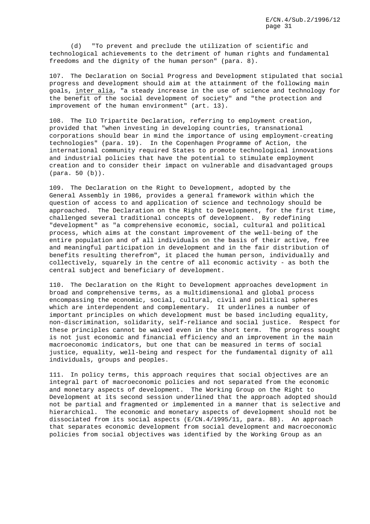(d) "To prevent and preclude the utilization of scientific and technological achievements to the detriment of human rights and fundamental freedoms and the dignity of the human person" (para. 8).

107. The Declaration on Social Progress and Development stipulated that social progress and development should aim at the attainment of the following main goals, inter alia, "a steady increase in the use of science and technology for the benefit of the social development of society" and "the protection and improvement of the human environment" (art. 13).

108. The ILO Tripartite Declaration, referring to employment creation, provided that "when investing in developing countries, transnational corporations should bear in mind the importance of using employment-creating technologies" (para. 19). In the Copenhagen Programme of Action, the international community required States to promote technological innovations and industrial policies that have the potential to stimulate employment creation and to consider their impact on vulnerable and disadvantaged groups (para. 50 (b)).

109. The Declaration on the Right to Development, adopted by the General Assembly in 1986, provides a general framework within which the question of access to and application of science and technology should be approached. The Declaration on the Right to Development, for the first time, challenged several traditional concepts of development. By redefining "development" as "a comprehensive economic, social, cultural and political process, which aims at the constant improvement of the well-being of the entire population and of all individuals on the basis of their active, free and meaningful participation in development and in the fair distribution of benefits resulting therefrom", it placed the human person, individually and collectively, squarely in the centre of all economic activity - as both the central subject and beneficiary of development.

110. The Declaration on the Right to Development approaches development in broad and comprehensive terms, as a multidimensional and global process encompassing the economic, social, cultural, civil and political spheres which are interdependent and complementary. It underlines a number of important principles on which development must be based including equality, non-discrimination, solidarity, self-reliance and social justice. Respect for these principles cannot be waived even in the short term. The progress sought is not just economic and financial efficiency and an improvement in the main macroeconomic indicators, but one that can be measured in terms of social justice, equality, well-being and respect for the fundamental dignity of all individuals, groups and peoples.

111. In policy terms, this approach requires that social objectives are an integral part of macroeconomic policies and not separated from the economic and monetary aspects of development. The Working Group on the Right to Development at its second session underlined that the approach adopted should not be partial and fragmented or implemented in a manner that is selective and hierarchical. The economic and monetary aspects of development should not be dissociated from its social aspects (E/CN.4/1995/11, para. 88). An approach that separates economic development from social development and macroeconomic policies from social objectives was identified by the Working Group as an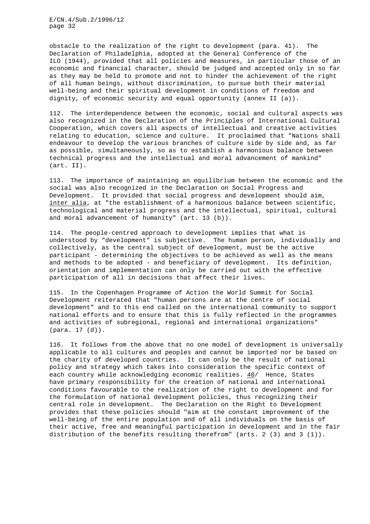obstacle to the realization of the right to development (para. 41). The Declaration of Philadelphia, adopted at the General Conference of the ILO (1944), provided that all policies and measures, in particular those of an economic and financial character, should be judged and accepted only in so far as they may be held to promote and not to hinder the achievement of the right of all human beings, without discrimination, to pursue both their material well-being and their spiritual development in conditions of freedom and dignity, of economic security and equal opportunity (annex II (a)).

112. The interdependence between the economic, social and cultural aspects was also recognized in the Declaration of the Principles of International Cultural Cooperation, which covers all aspects of intellectual and creative activities relating to education, science and culture. It proclaimed that "Nations shall endeavour to develop the various branches of culture side by side and, as far as possible, simultaneously, so as to establish a harmonious balance between technical progress and the intellectual and moral advancement of mankind" (art. II).

113. The importance of maintaining an equilibrium between the economic and the social was also recognized in the Declaration on Social Progress and Development. It provided that social progress and development should aim, inter alia, at "the establishment of a harmonious balance between scientific, technological and material progress and the intellectual, spiritual, cultural and moral advancement of humanity" (art. 13 (b)).

114. The people-centred approach to development implies that what is understood by "development" is subjective. The human person, individually and collectively, as the central subject of development, must be the active participant - determining the objectives to be achieved as well as the means and methods to be adopted - and beneficiary of development. Its definition, orientation and implementation can only be carried out with the effective participation of all in decisions that affect their lives.

115. In the Copenhagen Programme of Action the World Summit for Social Development reiterated that "human persons are at the centre of social development" and to this end called on the international community to support national efforts and to ensure that this is fully reflected in the programmes and activities of subregional, regional and international organizations" (para. 17 (d)).

116. It follows from the above that no one model of development is universally applicable to all cultures and peoples and cannot be imported nor be based on the charity of developed countries. It can only be the result of national policy and strategy which takes into consideration the specific context of each country while acknowledging economic realities. 40/ Hence, States have primary responsibility for the creation of national and international conditions favourable to the realization of the right to development and for the formulation of national development policies, thus recognizing their central role in development. The Declaration on the Right to Development provides that these policies should "aim at the constant improvement of the well-being of the entire population and of all individuals on the basis of their active, free and meaningful participation in development and in the fair distribution of the benefits resulting therefrom" (arts. 2 (3) and 3 (1)).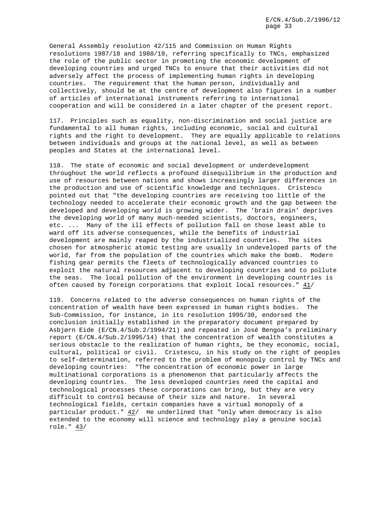General Assembly resolution 42/115 and Commission on Human Rights resolutions 1987/18 and 1988/19, referring specifically to TNCs, emphasized the role of the public sector in promoting the economic development of developing countries and urged TNCs to ensure that their activities did not adversely affect the process of implementing human rights in developing countries. The requirement that the human person, individually and collectively, should be at the centre of development also figures in a number of articles of international instruments referring to international cooperation and will be considered in a later chapter of the present report.

117. Principles such as equality, non-discrimination and social justice are fundamental to all human rights, including economic, social and cultural rights and the right to development. They are equally applicable to relations between individuals and groups at the national level, as well as between peoples and States at the international level.

118. The state of economic and social development or underdevelopment throughout the world reflects a profound disequilibrium in the production and use of resources between nations and shows increasingly larger differences in the production and use of scientific knowledge and techniques. Cristescu pointed out that "the developing countries are receiving too little of the technology needed to accelerate their economic growth and the gap between the developed and developing world is growing wider. The 'brain drain' deprives the developing world of many much-needed scientists, doctors, engineers, etc. ... Many of the ill effects of pollution fall on those least able to ward off its adverse consequences, while the benefits of industrial development are mainly reaped by the industrialized countries. The sites chosen for atmospheric atomic testing are usually in undeveloped parts of the world, far from the population of the countries which make the bomb. Modern fishing gear permits the fleets of technologically advanced countries to exploit the natural resources adjacent to developing countries and to pollute the seas. The local pollution of the environment in developing countries is often caused by foreign corporations that exploit local resources."  $41/$ 

119. Concerns related to the adverse consequences on human rights of the concentration of wealth have been expressed in human rights bodies. The Sub-Commission, for instance, in its resolution 1995/30, endorsed the conclusion initially established in the preparatory document prepared by Asbjørn Eide (E/CN.4/Sub.2/1994/21) and repeated in José Bengoa's preliminary report (E/CN.4/Sub.2/1995/14) that the concentration of wealth constitutes a serious obstacle to the realization of human rights, be they economic, social, cultural, political or civil. Cristescu, in his study on the right of peoples to self-determination, referred to the problem of monopoly control by TNCs and developing countries: "The concentration of economic power in large multinational corporations is a phenomenon that particularly affects the developing countries. The less developed countries need the capital and technological processes these corporations can bring, but they are very difficult to control because of their size and nature. In several technological fields, certain companies have a virtual monopoly of a particular product." 42/ He underlined that "only when democracy is also extended to the economy will science and technology play a genuine social role." 43/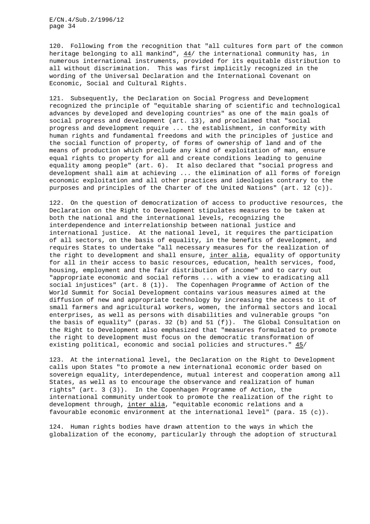120. Following from the recognition that "all cultures form part of the common heritage belonging to all mankind", 44/ the international community has, in numerous international instruments, provided for its equitable distribution to all without discrimination. This was first implicitly recognized in the wording of the Universal Declaration and the International Covenant on Economic, Social and Cultural Rights.

121. Subsequently, the Declaration on Social Progress and Development recognized the principle of "equitable sharing of scientific and technological advances by developed and developing countries" as one of the main goals of social progress and development (art. 13), and proclaimed that "social progress and development require ... the establishment, in conformity with human rights and fundamental freedoms and with the principles of justice and the social function of property, of forms of ownership of land and of the means of production which preclude any kind of exploitation of man, ensure equal rights to property for all and create conditions leading to genuine equality among people" (art. 6). It also declared that "social progress and development shall aim at achieving ... the elimination of all forms of foreign economic exploitation and all other practices and ideologies contrary to the purposes and principles of the Charter of the United Nations" (art. 12 (c)).

122. On the question of democratization of access to productive resources, the Declaration on the Right to Development stipulates measures to be taken at both the national and the international levels, recognizing the interdependence and interrelationship between national justice and international justice. At the national level, it requires the participation of all sectors, on the basis of equality, in the benefits of development, and requires States to undertake "all necessary measures for the realization of the right to development and shall ensure, inter alia, equality of opportunity for all in their access to basic resources, education, health services, food, housing, employment and the fair distribution of income" and to carry out "appropriate economic and social reforms ... with a view to eradicating all social injustices" (art. 8 (1)). The Copenhagen Programme of Action of the World Summit for Social Development contains various measures aimed at the diffusion of new and appropriate technology by increasing the access to it of small farmers and agricultural workers, women, the informal sectors and local enterprises, as well as persons with disabilities and vulnerable groups "on the basis of equality" (paras. 32 (b) and 51 (f)). The Global Consultation on the Right to Development also emphasized that "measures formulated to promote the right to development must focus on the democratic transformation of existing political, economic and social policies and structures." 45/

123. At the international level, the Declaration on the Right to Development calls upon States "to promote a new international economic order based on sovereign equality, interdependence, mutual interest and cooperation among all States, as well as to encourage the observance and realization of human rights" (art. 3 (3)). In the Copenhagen Programme of Action, the international community undertook to promote the realization of the right to development through, inter alia, "equitable economic relations and a favourable economic environment at the international level" (para. 15 (c)).

124. Human rights bodies have drawn attention to the ways in which the globalization of the economy, particularly through the adoption of structural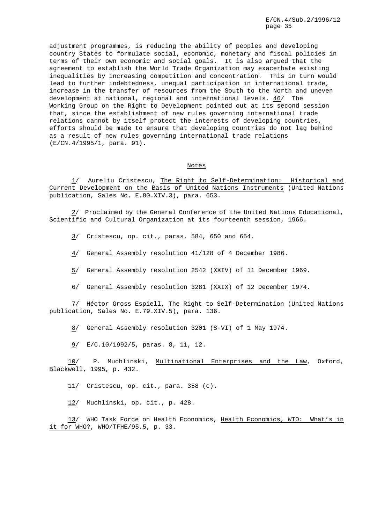adjustment programmes, is reducing the ability of peoples and developing country States to formulate social, economic, monetary and fiscal policies in terms of their own economic and social goals. It is also argued that the agreement to establish the World Trade Organization may exacerbate existing inequalities by increasing competition and concentration. This in turn would lead to further indebtedness, unequal participation in international trade, increase in the transfer of resources from the South to the North and uneven development at national, regional and international levels. 46/ The Working Group on the Right to Development pointed out at its second session that, since the establishment of new rules governing international trade relations cannot by itself protect the interests of developing countries, efforts should be made to ensure that developing countries do not lag behind as a result of new rules governing international trade relations (E/CN.4/1995/1, para. 91).

#### Notes

1/ Aureliu Cristescu, The Right to Self-Determination: Historical and Current Development on the Basis of United Nations Instruments (United Nations publication, Sales No. E.80.XIV.3), para. 653.

2/ Proclaimed by the General Conference of the United Nations Educational, Scientific and Cultural Organization at its fourteenth session, 1966.

3/ Cristescu, op. cit., paras. 584, 650 and 654.

4/ General Assembly resolution 41/128 of 4 December 1986.

5/ General Assembly resolution 2542 (XXIV) of 11 December 1969.

6/ General Assembly resolution 3281 (XXIX) of 12 December 1974.

7/ Héctor Gross Espiell, The Right to Self-Determination (United Nations publication, Sales No. E.79.XIV.5), para. 136.

8/ General Assembly resolution 3201 (S-VI) of 1 May 1974.

9/ E/C.10/1992/5, paras. 8, 11, 12.

10/ P. Muchlinski, Multinational Enterprises and the Law, Oxford, Blackwell, 1995, p. 432.

11/ Cristescu, op. cit., para. 358 (c).

12/ Muchlinski, op. cit., p. 428.

13/ WHO Task Force on Health Economics, Health Economics, WTO: What's in it for WHO?, WHO/TFHE/95.5, p. 33.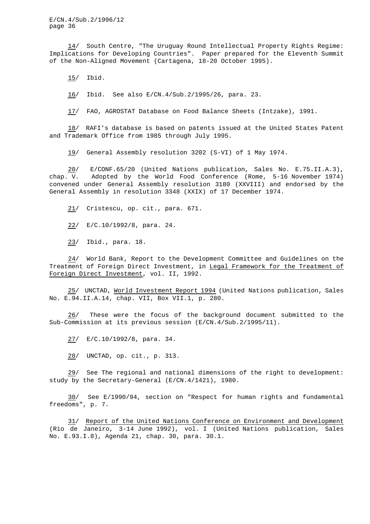14/ South Centre, "The Uruguay Round Intellectual Property Rights Regime: Implications for Developing Countries". Paper prepared for the Eleventh Summit of the Non-Aligned Movement (Cartagena, 18-20 October 1995).

15/ Ibid.

16/ Ibid. See also E/CN.4/Sub.2/1995/26, para. 23.

17/ FAO, AGROSTAT Database on Food Balance Sheets (Intzake), 1991.

18/ RAFI's database is based on patents issued at the United States Patent and Trademark Office from 1985 through July 1995.

19/ General Assembly resolution 3202 (S-VI) of 1 May 1974.

20/ E/CONF.65/20 (United Nations publication, Sales No. E.75.II.A.3), chap. V. Adopted by the World Food Conference (Rome, 5-16 November 1974) convened under General Assembly resolution 3180 (XXVIII) and endorsed by the General Assembly in resolution 3348 (XXIX) of 17 December 1974.

21/ Cristescu, op. cit., para. 671.

22/ E/C.10/1992/8, para. 24.

23/ Ibid., para. 18.

24/ World Bank, Report to the Development Committee and Guidelines on the Treatment of Foreign Direct Investment, in Legal Framework for the Treatment of Foreign Direct Investment, vol. II, 1992.

25/ UNCTAD, World Investment Report 1994 (United Nations publication, Sales No. E.94.II.A.14, chap. VII, Box VII.1, p. 280.

26/ These were the focus of the background document submitted to the Sub-Commission at its previous session (E/CN.4/Sub.2/1995/11).

27/ E/C.10/1992/8, para. 34.

28/ UNCTAD, op. cit., p. 313.

29/ See The regional and national dimensions of the right to development: study by the Secretary-General (E/CN.4/1421), 1980.

30/ See E/1990/94, section on "Respect for human rights and fundamental freedoms", p. 7.

31/ Report of the United Nations Conference on Environment and Development (Rio de Janeiro, 3-14 June 1992), vol. I (United Nations publication, Sales No. E.93.I.8), Agenda 21, chap. 30, para. 30.1.